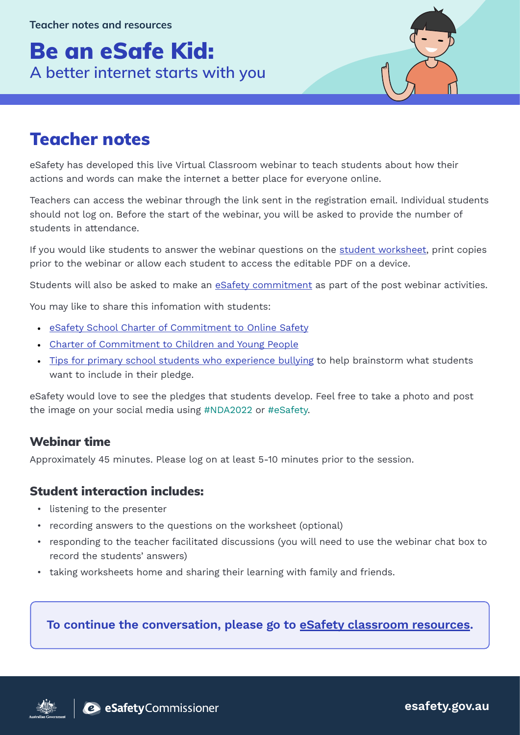# Be an eSafe Kid: **A better internet starts with you**



## Teacher notes

eSafety has developed this live Virtual Classroom webinar to teach students about how their actions and words can make the internet a better place for everyone online.

Teachers can access the webinar through the link sent in the registration email. Individual students should not log on. Before the start of the webinar, you will be asked to provide the number of students in attendance.

If you would like students to answer the webinar questions on the [student worksheet](https://www.esafety.gov.au/educators/virtual-classroom/be-esafe-kid-better-internet-starts-you), print copies prior to the webinar or allow each student to access the editable PDF on a device.

Students will also be asked to make an [eSafety commitment](https://www.esafety.gov.au/educators/virtual-classroom/be-esafe-kid-better-internet-starts-you) as part of the post webinar activities.

You may like to share this infomation with students:

- [eSafety School Charter of Commitment to Online Safety](https://www.esafety.gov.au/sites/default/files/2020-02/engage_5_-_school_charter_of_commitment_to_online_safety.pdf)
- [Charter of Commitment to Children and Young People](https://childsafe.humanrights.gov.au/sites/default/files/inline-files/CSO%20Charter%20of%20Commitment%20for%20children%20and%20young%20people_0.pdf)
- [Tips for primary school students who experience bullying](https://bullyingnoway.gov.au/resource/fact-sheets/studentstips/primary-school-students-bullying-fact-sheet.pdf) to help brainstorm what students want to include in their pledge.

eSafety would love to see the pledges that students develop. Feel free to take a photo and post the image on your social media using #NDA2022 or #eSafety.

#### Webinar time

Approximately 45 minutes. Please log on at least 5-10 minutes prior to the session.

#### Student interaction includes:

- listening to the presenter
- recording answers to the questions on the worksheet (optional)
- responding to the teacher facilitated discussions (you will need to use the webinar chat box to record the students' answers)
- taking worksheets home and sharing their learning with family and friends.

#### To continue the conversation, please go to [eSafety classroom resources](https://www.esafety.gov.au/educators/classroom-resources?level%5B0%5D=5&level%5B1%5D=6&level%5B2%5D=7).